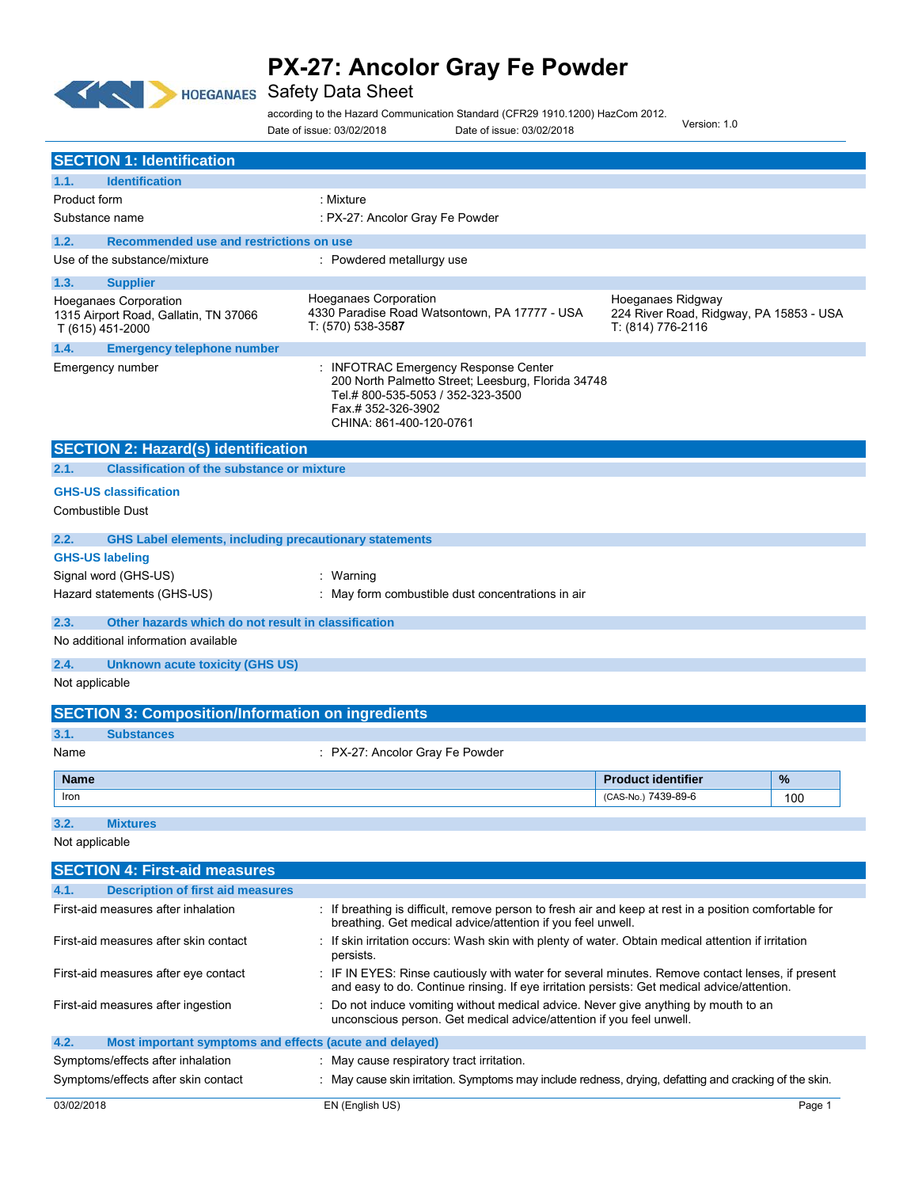

# HOEGANAES Safety Data Sheet

according to the Hazard Communication Standard (CFR29 1910.1200) HazCom 2012.

Version: 1.0

Date of issue: 03/02/2018 Date of issue: 03/02/2018 **SECTION 1: Identification 1.1. Identification** Product form Substance name : Mixture : PX-27: Ancolor Gray Fe Powder **1.2. Recommended use and restrictions on use** Use of the substance/mixture in the substance in the set of the substance/mixture in the set of the substance **1.3. Supplier** Hoeganaes Corporation 1315 Airport Road, Gallatin, TN 37066 T (615) 451-2000 **1.4. Emergency telephone number** Emergency number : INFOTRAC Emergency Response Center 200 North Palmetto Street; Leesburg, Florida 34748 Tel.# 800-535-5053 / 352-323-3500 Fax.# 352-326-3902 CHINA: 861-400-120-0761 **SECTION 2: Hazard(s) identification 2.1. Classification of the substance or mixture GHS-US classification**  Combustible Dust **2.2. GHS Label elements, including precautionary statements GHS-US labeling**  Signal word (GHS-US) **in the state of the Signal word (GHS-US)** and the state of the state of the state of the state of the state of the state of the state of the state of the state of the state of the state of the state o Hazard statements (GHS-US) : May form combustible dust concentrations in air **2.3. Other hazards which do not result in classification** No additional information available **2.4. Unknown acute toxicity (GHS US)** Not applicable **SECTION 3: Composition/Information on ingredients SECTION 4: First-aid measures 4.1. Description of first aid measures** First-aid measures after inhalation First-aid measures after skin contact First-aid measures after eye contact : If breathing is difficult, remove person to fresh air and keep at rest in a position comfortable for breathing. Get medical advice/attention if you feel unwell. : If skin irritation occurs: Wash skin with plenty of water. Obtain medical attention if irritation persists. : IF IN EYES: Rinse cautiously with water for several minutes. Remove contact lenses, if present and easy to do. Continue rinsing. If eye irritation persists: Get medical advice/attention. Hoeganaes Corporation 4330 Paradise Road Watsontown, PA 17777 - USA T: (570) 538-3587 Hoeganaes Ridgway 224 River Road, Ridgway, PA 15853 - USA T: (814) 776-2116 **3.1. Substances**  Name : PX-27: Ancolor Gray Fe Powder **Name Product identifier % Iron** (CAS-No.) 7439-89-6 **3.2. Mixtures**  Not applicable 100

| 4.2.       | Most important symptoms and effects (acute and delayed)                  |                                                                                                                                                     |  |
|------------|--------------------------------------------------------------------------|-----------------------------------------------------------------------------------------------------------------------------------------------------|--|
|            | Symptoms/effects after inhalation<br>Symptoms/effects after skin contact | : May cause respiratory tract irritation.<br>: May cause skin irritation. Symptoms may include redness, drying, defatting and cracking of the skin. |  |
| 03/02/2018 |                                                                          | EN (English US)<br>Page 1                                                                                                                           |  |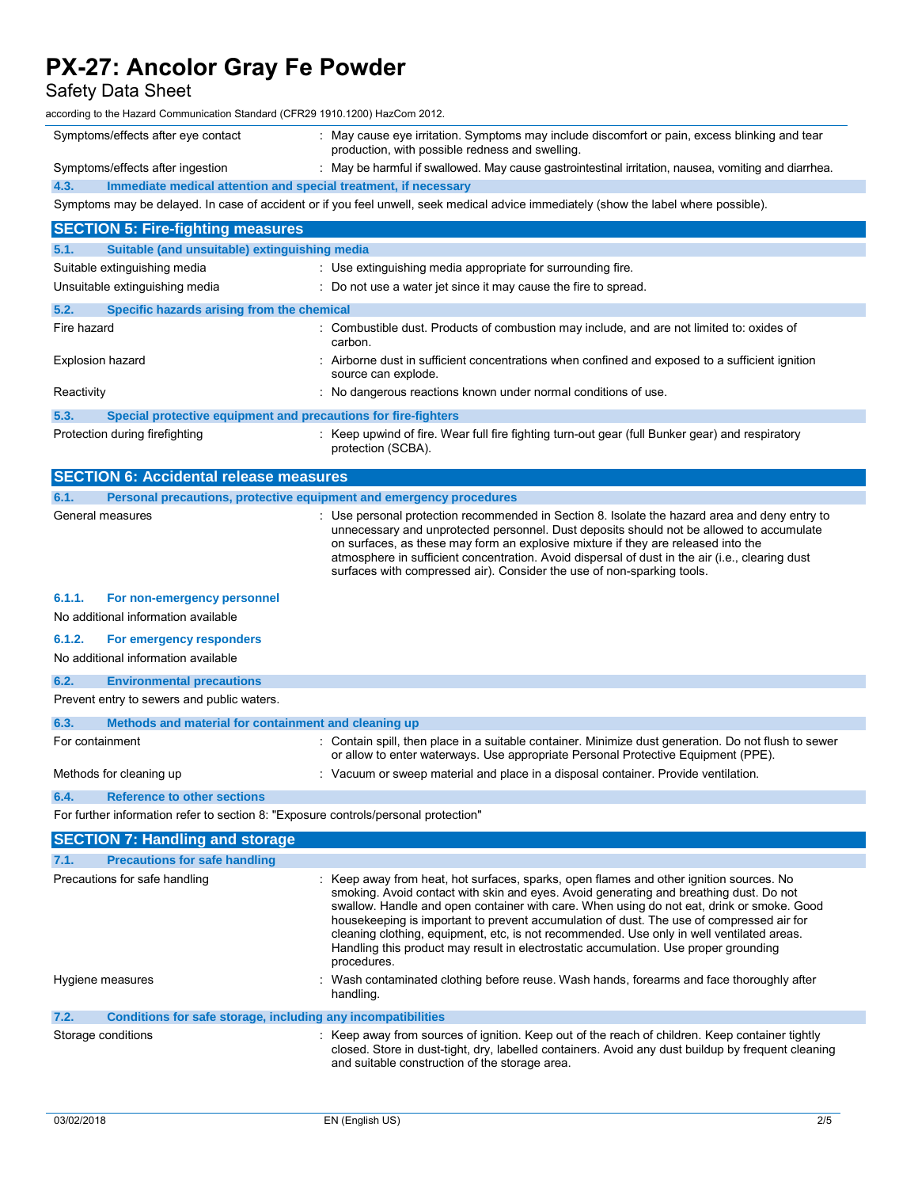Safety Data Sheet

according to the Hazard Communication Standard (CFR29 1910.1200) HazCom 2012.

| Symptoms/effects after eye contact                                                                                                   | : May cause eye irritation. Symptoms may include discomfort or pain, excess blinking and tear<br>production, with possible redness and swelling. |  |  |
|--------------------------------------------------------------------------------------------------------------------------------------|--------------------------------------------------------------------------------------------------------------------------------------------------|--|--|
| Symptoms/effects after ingestion                                                                                                     | : May be harmful if swallowed. May cause gastrointestinal irritation, nausea, vomiting and diarrhea.                                             |  |  |
| Immediate medical attention and special treatment, if necessary<br>4.3.                                                              |                                                                                                                                                  |  |  |
| Symptoms may be delayed. In case of accident or if you feel unwell, seek medical advice immediately (show the label where possible). |                                                                                                                                                  |  |  |

| <b>SECTION 5: Fire-fighting measures</b>                                            |                                                                                                                                                                                                                                                                                                                                                                                                                                                                                                                                                                                |  |
|-------------------------------------------------------------------------------------|--------------------------------------------------------------------------------------------------------------------------------------------------------------------------------------------------------------------------------------------------------------------------------------------------------------------------------------------------------------------------------------------------------------------------------------------------------------------------------------------------------------------------------------------------------------------------------|--|
| Suitable (and unsuitable) extinguishing media<br>5.1.                               |                                                                                                                                                                                                                                                                                                                                                                                                                                                                                                                                                                                |  |
| Suitable extinguishing media                                                        | : Use extinguishing media appropriate for surrounding fire.                                                                                                                                                                                                                                                                                                                                                                                                                                                                                                                    |  |
| Unsuitable extinguishing media                                                      | : Do not use a water jet since it may cause the fire to spread.                                                                                                                                                                                                                                                                                                                                                                                                                                                                                                                |  |
| 5.2.<br>Specific hazards arising from the chemical                                  |                                                                                                                                                                                                                                                                                                                                                                                                                                                                                                                                                                                |  |
| Fire hazard                                                                         | : Combustible dust. Products of combustion may include, and are not limited to: oxides of<br>carbon.                                                                                                                                                                                                                                                                                                                                                                                                                                                                           |  |
| <b>Explosion hazard</b>                                                             | : Airborne dust in sufficient concentrations when confined and exposed to a sufficient ignition<br>source can explode.                                                                                                                                                                                                                                                                                                                                                                                                                                                         |  |
| Reactivity                                                                          | : No dangerous reactions known under normal conditions of use.                                                                                                                                                                                                                                                                                                                                                                                                                                                                                                                 |  |
| 5.3.<br>Special protective equipment and precautions for fire-fighters              |                                                                                                                                                                                                                                                                                                                                                                                                                                                                                                                                                                                |  |
| Protection during firefighting                                                      | : Keep upwind of fire. Wear full fire fighting turn-out gear (full Bunker gear) and respiratory<br>protection (SCBA).                                                                                                                                                                                                                                                                                                                                                                                                                                                          |  |
| <b>SECTION 6: Accidental release measures</b>                                       |                                                                                                                                                                                                                                                                                                                                                                                                                                                                                                                                                                                |  |
| Personal precautions, protective equipment and emergency procedures<br>6.1.         |                                                                                                                                                                                                                                                                                                                                                                                                                                                                                                                                                                                |  |
| General measures                                                                    | Use personal protection recommended in Section 8. Isolate the hazard area and deny entry to<br>unnecessary and unprotected personnel. Dust deposits should not be allowed to accumulate<br>on surfaces, as these may form an explosive mixture if they are released into the<br>atmosphere in sufficient concentration. Avoid dispersal of dust in the air (i.e., clearing dust<br>surfaces with compressed air). Consider the use of non-sparking tools.                                                                                                                      |  |
| 6.1.1.<br>For non-emergency personnel                                               |                                                                                                                                                                                                                                                                                                                                                                                                                                                                                                                                                                                |  |
| No additional information available                                                 |                                                                                                                                                                                                                                                                                                                                                                                                                                                                                                                                                                                |  |
| 6.1.2.<br>For emergency responders<br>No additional information available           |                                                                                                                                                                                                                                                                                                                                                                                                                                                                                                                                                                                |  |
| <b>Environmental precautions</b><br>6.2.                                            |                                                                                                                                                                                                                                                                                                                                                                                                                                                                                                                                                                                |  |
| Prevent entry to sewers and public waters.                                          |                                                                                                                                                                                                                                                                                                                                                                                                                                                                                                                                                                                |  |
| 6.3.<br>Methods and material for containment and cleaning up                        |                                                                                                                                                                                                                                                                                                                                                                                                                                                                                                                                                                                |  |
| For containment                                                                     | : Contain spill, then place in a suitable container. Minimize dust generation. Do not flush to sewer<br>or allow to enter waterways. Use appropriate Personal Protective Equipment (PPE).                                                                                                                                                                                                                                                                                                                                                                                      |  |
| Methods for cleaning up                                                             | : Vacuum or sweep material and place in a disposal container. Provide ventilation.                                                                                                                                                                                                                                                                                                                                                                                                                                                                                             |  |
| <b>Reference to other sections</b><br>6.4.                                          |                                                                                                                                                                                                                                                                                                                                                                                                                                                                                                                                                                                |  |
| For further information refer to section 8: "Exposure controls/personal protection" |                                                                                                                                                                                                                                                                                                                                                                                                                                                                                                                                                                                |  |
| <b>SECTION 7: Handling and storage</b>                                              |                                                                                                                                                                                                                                                                                                                                                                                                                                                                                                                                                                                |  |
| <b>Precautions for safe handling</b><br>7.1.                                        |                                                                                                                                                                                                                                                                                                                                                                                                                                                                                                                                                                                |  |
| Precautions for safe handling                                                       | : Keep away from heat, hot surfaces, sparks, open flames and other ignition sources. No<br>smoking. Avoid contact with skin and eyes. Avoid generating and breathing dust. Do not<br>swallow. Handle and open container with care. When using do not eat, drink or smoke. Good<br>housekeeping is important to prevent accumulation of dust. The use of compressed air for<br>cleaning clothing, equipment, etc, is not recommended. Use only in well ventilated areas.<br>Handling this product may result in electrostatic accumulation. Use proper grounding<br>procedures. |  |
| Hygiene measures                                                                    | Wash contaminated clothing before reuse. Wash hands, forearms and face thoroughly after<br>handling.                                                                                                                                                                                                                                                                                                                                                                                                                                                                           |  |
| Conditions for safe storage, including any incompatibilities<br>7.2.                |                                                                                                                                                                                                                                                                                                                                                                                                                                                                                                                                                                                |  |
| Storage conditions                                                                  | : Keep away from sources of ignition. Keep out of the reach of children. Keep container tightly                                                                                                                                                                                                                                                                                                                                                                                                                                                                                |  |

and suitable construction of the storage area.

closed. Store in dust-tight, dry, labelled containers. Avoid any dust buildup by frequent cleaning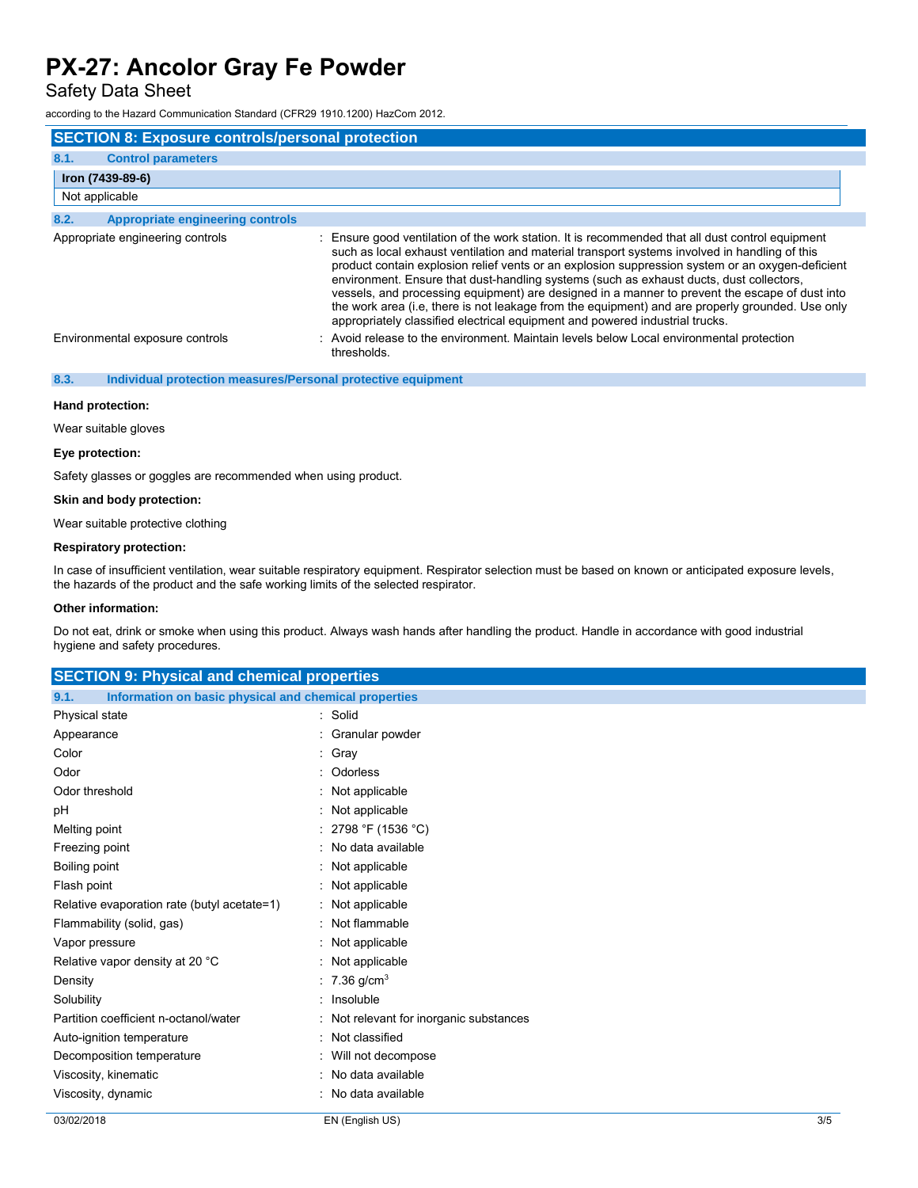Safety Data Sheet

according to the Hazard Communication Standard (CFR29 1910.1200) HazCom 2012.

| <b>SECTION 8: Exposure controls/personal protection</b> |                                                                                                                                                                                                                                                                                                                                                                                                                                                                                                                                                                                                                                                                                        |  |
|---------------------------------------------------------|----------------------------------------------------------------------------------------------------------------------------------------------------------------------------------------------------------------------------------------------------------------------------------------------------------------------------------------------------------------------------------------------------------------------------------------------------------------------------------------------------------------------------------------------------------------------------------------------------------------------------------------------------------------------------------------|--|
| 8.1.<br><b>Control parameters</b>                       |                                                                                                                                                                                                                                                                                                                                                                                                                                                                                                                                                                                                                                                                                        |  |
| Iron (7439-89-6)                                        |                                                                                                                                                                                                                                                                                                                                                                                                                                                                                                                                                                                                                                                                                        |  |
| Not applicable                                          |                                                                                                                                                                                                                                                                                                                                                                                                                                                                                                                                                                                                                                                                                        |  |
| 8.2.<br><b>Appropriate engineering controls</b>         |                                                                                                                                                                                                                                                                                                                                                                                                                                                                                                                                                                                                                                                                                        |  |
| Appropriate engineering controls                        | : Ensure good ventilation of the work station. It is recommended that all dust control equipment<br>such as local exhaust ventilation and material transport systems involved in handling of this<br>product contain explosion relief vents or an explosion suppression system or an oxygen-deficient<br>environment. Ensure that dust-handling systems (such as exhaust ducts, dust collectors,<br>vessels, and processing equipment) are designed in a manner to prevent the escape of dust into<br>the work area (i.e, there is not leakage from the equipment) and are properly grounded. Use only<br>appropriately classified electrical equipment and powered industrial trucks. |  |
| Environmental exposure controls                         | : Avoid release to the environment. Maintain levels below Local environmental protection<br>thresholds.                                                                                                                                                                                                                                                                                                                                                                                                                                                                                                                                                                                |  |

## **8.3. Individual protection measures/Personal protective equipment**

### **Hand protection:**

Wear suitable gloves

#### **Eye protection:**

Safety glasses or goggles are recommended when using product.

### **Skin and body protection:**

Wear suitable protective clothing

### **Respiratory protection:**

In case of insufficient ventilation, wear suitable respiratory equipment. Respirator selection must be based on known or anticipated exposure levels, the hazards of the product and the safe working limits of the selected respirator.

## **Other information:**

Do not eat, drink or smoke when using this product. Always wash hands after handling the product. Handle in accordance with good industrial hygiene and safety procedures.

| <b>SECTION 9: Physical and chemical properties</b>            |                                         |  |
|---------------------------------------------------------------|-----------------------------------------|--|
| Information on basic physical and chemical properties<br>9.1. |                                         |  |
| Physical state                                                | : Solid                                 |  |
| Appearance                                                    | : Granular powder                       |  |
| Color                                                         | : Gray                                  |  |
| Odor                                                          | : Odorless                              |  |
| Odor threshold                                                | : Not applicable                        |  |
| pH                                                            | : Not applicable                        |  |
| Melting point                                                 | : 2798 °F (1536 °C)                     |  |
| Freezing point                                                | : No data available                     |  |
| Boiling point                                                 | : Not applicable                        |  |
| Flash point                                                   | : Not applicable                        |  |
| Relative evaporation rate (butyl acetate=1)                   | : Not applicable                        |  |
| Flammability (solid, gas)                                     | : Not flammable                         |  |
| Vapor pressure                                                | : Not applicable                        |  |
| Relative vapor density at 20 °C                               | : Not applicable                        |  |
| Density                                                       | : 7.36 g/cm <sup>3</sup>                |  |
| Solubility                                                    | : Insoluble                             |  |
| Partition coefficient n-octanol/water                         | : Not relevant for inorganic substances |  |
| Auto-ignition temperature                                     | : Not classified                        |  |
| Decomposition temperature                                     | : Will not decompose                    |  |
| Viscosity, kinematic                                          | : No data available                     |  |
| Viscosity, dynamic                                            | : No data available                     |  |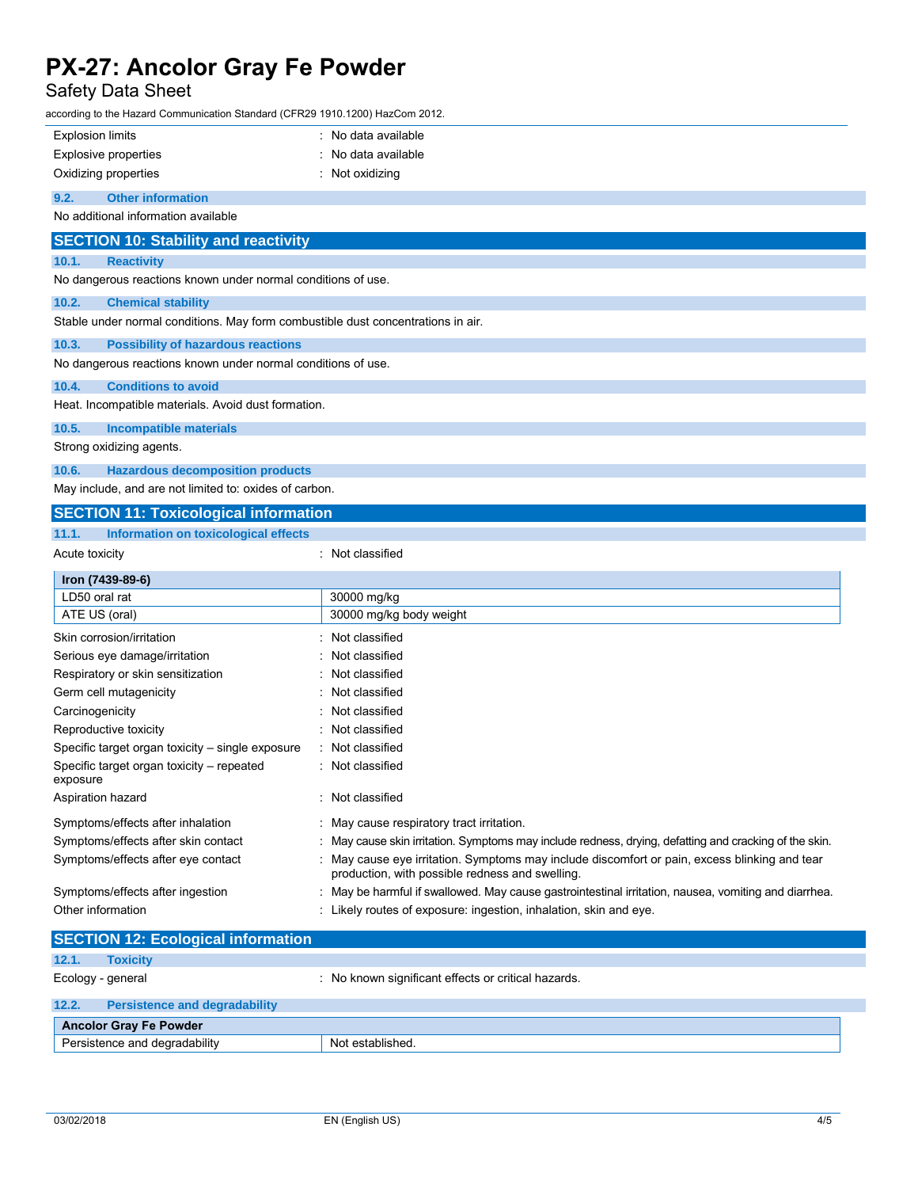# Safety Data Sheet

according to the Hazard Communication Standard (CFR29 1910.1200) HazCom 2012.

| ccording to the Hazard Communication Standard (CFR29 1910.1200) HazCom 2012.<br><b>Explosion limits</b> | : No data available                                                                                                                              |
|---------------------------------------------------------------------------------------------------------|--------------------------------------------------------------------------------------------------------------------------------------------------|
| <b>Explosive properties</b>                                                                             | No data available                                                                                                                                |
| Oxidizing properties                                                                                    | $:$ Not oxidizing                                                                                                                                |
| <b>Other information</b><br>9.2.                                                                        |                                                                                                                                                  |
| No additional information available                                                                     |                                                                                                                                                  |
|                                                                                                         |                                                                                                                                                  |
| <b>SECTION 10: Stability and reactivity</b>                                                             |                                                                                                                                                  |
| 10.1.<br><b>Reactivity</b>                                                                              |                                                                                                                                                  |
| No dangerous reactions known under normal conditions of use.                                            |                                                                                                                                                  |
| 10.2.<br><b>Chemical stability</b>                                                                      |                                                                                                                                                  |
| Stable under normal conditions. May form combustible dust concentrations in air.                        |                                                                                                                                                  |
| <b>Possibility of hazardous reactions</b><br>10.3.                                                      |                                                                                                                                                  |
| No dangerous reactions known under normal conditions of use.                                            |                                                                                                                                                  |
| 10.4.<br><b>Conditions to avoid</b>                                                                     |                                                                                                                                                  |
| Heat. Incompatible materials. Avoid dust formation.                                                     |                                                                                                                                                  |
| 10.5.<br><b>Incompatible materials</b>                                                                  |                                                                                                                                                  |
| Strong oxidizing agents.                                                                                |                                                                                                                                                  |
| 10.6.<br><b>Hazardous decomposition products</b>                                                        |                                                                                                                                                  |
| May include, and are not limited to: oxides of carbon.                                                  |                                                                                                                                                  |
| <b>SECTION 11: Toxicological information</b>                                                            |                                                                                                                                                  |
| 11.1.<br>Information on toxicological effects                                                           |                                                                                                                                                  |
| Acute toxicity                                                                                          | : Not classified                                                                                                                                 |
| Iron (7439-89-6)                                                                                        |                                                                                                                                                  |
| LD50 oral rat                                                                                           | 30000 mg/kg                                                                                                                                      |
| ATE US (oral)                                                                                           | 30000 mg/kg body weight                                                                                                                          |
| Skin corrosion/irritation                                                                               | Not classified                                                                                                                                   |
| Serious eye damage/irritation                                                                           | Not classified                                                                                                                                   |
| Respiratory or skin sensitization                                                                       | : Not classified                                                                                                                                 |
| Germ cell mutagenicity                                                                                  | Not classified                                                                                                                                   |
| Carcinogenicity                                                                                         | : Not classified                                                                                                                                 |
| Reproductive toxicity                                                                                   | : Not classified                                                                                                                                 |
| Specific target organ toxicity - single exposure                                                        | : Not classified                                                                                                                                 |
| Specific target organ toxicity - repeated<br>exposure                                                   | : Not classified                                                                                                                                 |
| Aspiration hazard                                                                                       | : Not classified                                                                                                                                 |
| Symptoms/effects after inhalation                                                                       | : May cause respiratory tract irritation.                                                                                                        |
| Symptoms/effects after skin contact                                                                     | : May cause skin irritation. Symptoms may include redness, drying, defatting and cracking of the skin.                                           |
| Symptoms/effects after eye contact                                                                      | : May cause eye irritation. Symptoms may include discomfort or pain, excess blinking and tear<br>production, with possible redness and swelling. |
| Symptoms/effects after ingestion                                                                        | : May be harmful if swallowed. May cause gastrointestinal irritation, nausea, vomiting and diarrhea.                                             |
| Other information                                                                                       | : Likely routes of exposure: ingestion, inhalation, skin and eye.                                                                                |
| <b>SECTION 12: Ecological information</b>                                                               |                                                                                                                                                  |
| <b>Toxicity</b><br>12.1.                                                                                |                                                                                                                                                  |
|                                                                                                         |                                                                                                                                                  |

| Ecology - general             |                                      | : No known significant effects or critical hazards. |
|-------------------------------|--------------------------------------|-----------------------------------------------------|
| 12.2.                         | <b>Persistence and degradability</b> |                                                     |
| <b>Ancolor Gray Fe Powder</b> |                                      |                                                     |
| Persistence and degradability |                                      | Not established.                                    |